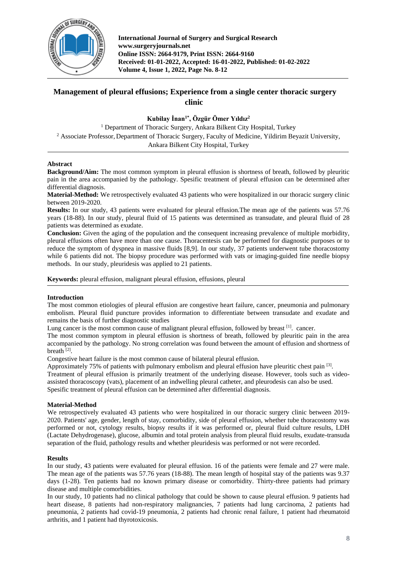

**International Journal of Surgery and Surgical Research www.surgeryjournals.net Online ISSN: 2664-9179, Print ISSN: 2664-9160 Received: 01-01-2022, Accepted: 16-01-2022, Published: 01-02-2022 Volume 4, Issue 1, 2022, Page No. 8-12**

# **Management of pleural effusions; Experience from a single center thoracic surgery clinic**

## **Kubilay İnan1\* , Özgür Ömer Yıldız<sup>2</sup>**

<sup>1</sup> Department of Thoracic Surgery, Ankara Bilkent City Hospital, Turkey <sup>2</sup> Associate Professor, Department of Thoracic Surgery, Faculty of Medicine, Yildirim Beyazit University, Ankara Bilkent City Hospital, Turkey

## **Abstract**

**Background/Aim:** The most common symptom in pleural effusion is shortness of breath, followed by pleuritic pain in the area accompanied by the pathology. Spesific treatment of pleural effusion can be determined after differential diagnosis.

**Material-Method:** We retrospectively evaluated 43 patients who were hospitalized in our thoracic surgery clinic between 2019-2020.

**Results:** In our study, 43 patients were evaluated for pleural effusion.The mean age of the patients was 57.76 years (18-88). In our study, pleural fluid of 15 patients was determined as transudate, and pleural fluid of 28 patients was determined as exudate.

**Conclusion:** Given the aging of the population and the consequent increasing prevalence of multiple morbidity, pleural effusions often have more than one cause. Thoracentesis can be performed for diagnostic purposes or to reduce the symptom of dyspnea in massive fluids [8,9]. In our study, 37 patients underwent tube thoracostomy while 6 patients did not. The biopsy procedure was performed with vats or imaging-guided fine needle biopsy methods. In our study, pleuridesis was applied to 21 patients.

**Keywords:** pleural effusion, malignant pleural effusion, effusions, pleural

## **Introduction**

The most common etiologies of pleural effusion are congestive heart failure, cancer, pneumonia and pulmonary embolism. Pleural fluid puncture provides information to differentiate between transudate and exudate and remains the basis of further diagnostic studies

Lung cancer is the most common cause of malignant pleural effusion, followed by breast <sup>[1]</sup>. cancer.

The most common symptom in pleural effusion is shortness of breath, followed by pleuritic pain in the area accompanied by the pathology. No strong correlation was found between the amount of effusion and shortness of breath<sup>[2]</sup>.

Congestive heart failure is the most common cause of bilateral pleural effusion.

Approximately 75% of patients with pulmonary embolism and pleural effusion have pleuritic chest pain <sup>[3]</sup>. Treatment of pleural effusion is primarily treatment of the underlying disease. However, tools such as videoassisted thoracoscopy (vats), placement of an indwelling pleural catheter, and pleurodesis can also be used. Spesific treatment of pleural effusion can be determined after differential diagnosis.

## **Material-Method**

We retrospectively evaluated 43 patients who were hospitalized in our thoracic surgery clinic between 2019-2020. Patients' age, gender, length of stay, comorbidity, side of pleural effusion, whether tube thoracostomy was performed or not, cytology results, biopsy results if it was performed or, pleural fluid culture results, LDH (Lactate Dehydrogenase), glucose, albumin and total protein analysis from pleural fluid results, exudate-transuda separation of the fluid, pathology results and whether pleuridesis was performed or not were recorded.

## **Results**

In our study, 43 patients were evaluated for pleural effusion. 16 of the patients were female and 27 were male. The mean age of the patients was 57.76 years (18-88). The mean length of hospital stay of the patients was 9.37 days (1-28). Ten patients had no known primary disease or comorbidity. Thirty-three patients had primary disease and multiple comorbidities.

In our study, 10 patients had no clinical pathology that could be shown to cause pleural effusion. 9 patients had heart disease, 8 patients had non-respiratory malignancies, 7 patients had lung carcinoma, 2 patients had pneumonia, 2 patients had covid-19 pneumonia, 2 patients had chronic renal failure, 1 patient had rheumatoid arthritis, and 1 patient had thyrotoxicosis.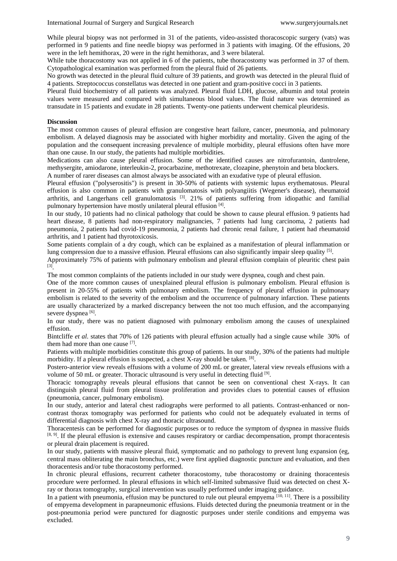While pleural biopsy was not performed in 31 of the patients, video-assisted thoracoscopic surgery (vats) was performed in 9 patients and fine needle biopsy was performed in 3 patients with imaging. Of the effusions, 20 were in the left hemithorax, 20 were in the right hemithorax, and 3 were bilateral.

While tube thoracostomy was not applied in 6 of the patients, tube thoracostomy was performed in 37 of them. Cytopathological examination was performed from the pleural fluid of 26 patients.

No growth was detected in the pleural fluid culture of 39 patients, and growth was detected in the pleural fluid of 4 patients. Streptococcus constellatus was detected in one patient and gram-positive cocci in 3 patients.

Pleural fluid biochemistry of all patients was analyzed. Pleural fluid LDH, glucose, albumin and total protein values were measured and compared with simultaneous blood values. The fluid nature was determined as transudate in 15 patients and exudate in 28 patients. Twenty-one patients underwent chemical pleuridesis.

#### **Discussion**

The most common causes of pleural effusion are congestive heart failure, cancer, pneumonia, and pulmonary embolism. A delayed diagnosis may be associated with higher morbidity and mortality. Given the aging of the population and the consequent increasing prevalence of multiple morbidity, pleural effusions often have more than one cause. In our study, the patients had multiple morbidities.

Medications can also cause pleural effusion. Some of the identified causes are nitrofurantoin, dantrolene, methysergite, amiodarone, interleukin-2, procarbazine, methotrexate, clozapine, phenytoin and beta blockers.

A number of rarer diseases can almost always be associated with an exudative type of pleural effusion.

Pleural effusion ("polyserositis") is present in 30-50% of patients with systemic lupus erythematosus. Pleural effusion is also common in patients with granulomatosis with polyangiitis (Wegener's disease), rheumatoid arthritis, and Langerhans cell granulomatosis  $^{[3]}$ . 21% of patients suffering from idiopathic and familial pulmonary hypertension have mostly unilateral pleural effusion [4].

In our study, 10 patients had no clinical pathology that could be shown to cause pleural effusion. 9 patients had heart disease, 8 patients had non-respiratory malignancies, 7 patients had lung carcinoma, 2 patients had pneumonia, 2 patients had covid-19 pneumonia, 2 patients had chronic renal failure, 1 patient had rheumatoid arthritis, and 1 patient had thyrotoxicosis.

Some patients complain of a dry cough, which can be explained as a manifestation of pleural inflammation or lung compression due to a massive effusion. Pleural effusions can also significantly impair sleep quality <sup>[5]</sup>.

Approximately 75% of patients with pulmonary embolism and pleural effusion complain of pleuritic chest pain [3] .

The most common complaints of the patients included in our study were dyspnea, cough and chest pain.

One of the more common causes of unexplained pleural effusion is pulmonary embolism. Pleural effusion is present in 20-55% of patients with pulmonary embolism. The frequency of pleural effusion in pulmonary embolism is related to the severity of the embolism and the occurrence of pulmonary infarction. These patients are usually characterized by a marked discrepancy between the not too much effusion, and the accompanying severe dyspnea<sup>[6]</sup>.

In our study, there was no patient diagnosed with pulmonary embolism among the causes of unexplained effusion.

Bintcliffe *et al*. states that 70% of 126 patients with pleural effusion actually had a single cause while 30% of them had more than one cause [7].

Patients with multiple morbidities constitute this group of patients. In our study, 30% of the patients had multiple morbidity. If a pleural effusion is suspected, a chest X-ray should be taken. [8].

Postero-anterior view reveals effusions with a volume of 200 mL or greater, lateral view reveals effusions with a volume of 50 mL or greater. Thoracic ultrasound is very useful in detecting fluid  $[9]$ .

Thoracic tomography reveals pleural effusions that cannot be seen on conventional chest X-rays. It can distinguish pleural fluid from pleural tissue proliferation and provides clues to potential causes of effusion (pneumonia, cancer, pulmonary embolism).

In our study, anterior and lateral chest radiographs were performed to all patients. Contrast-enhanced or noncontrast thorax tomography was performed for patients who could not be adequately evaluated in terms of differential diagnosis with chest X-ray and thoracic ultrasound.

Thoracentesis can be performed for diagnostic purposes or to reduce the symptom of dyspnea in massive fluids [8, 9]. If the pleural effusion is extensive and causes respiratory or cardiac decompensation, prompt thoracentesis or pleural drain placement is required.

In our study, patients with massive pleural fluid, symptomatic and no pathology to prevent lung expansion (eg, central mass obliterating the main bronchus, etc.) were first applied diagnostic puncture and evaluation, and then thoracentesis and/or tube thoracostomy performed.

In chronic pleural effusions, recurrent catheter thoracostomy, tube thoracostomy or draining thoracentesis procedure were performed. In pleural effusions in which self-limited submassive fluid was detected on chest Xray or thorax tomography, surgical intervention was usually performed under imaging guidance.

In a patient with pneumonia, effusion may be punctured to rule out pleural empyema  $[10, 11]$ . There is a possibility of empyema development in parapneumonic effusions. Fluids detected during the pneumonia treatment or in the post-pneumonia period were punctured for diagnostic purposes under sterile conditions and empyema was excluded.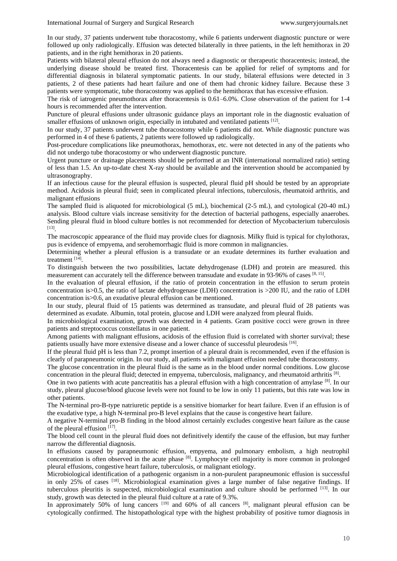In our study, 37 patients underwent tube thoracostomy, while 6 patients underwent diagnostic puncture or were followed up only radiologically. Effusion was detected bilaterally in three patients, in the left hemithorax in 20 patients, and in the right hemithorax in 20 patients.

Patients with bilateral pleural effusion do not always need a diagnostic or therapeutic thoracentesis; instead, the underlying disease should be treated first. Thoracentesis can be applied for relief of symptoms and for differential diagnosis in bilateral symptomatic patients. In our study, bilateral effusions were detected in 3 patients, 2 of these patients had heart failure and one of them had chronic kidney failure. Because these 3 patients were symptomatic, tube thoracostomy was applied to the hemithorax that has excessive effusion.

The risk of iatrogenic pneumothorax after thoracentesis is 0.61–6.0%. Close observation of the patient for 1-4 hours is recommended after the intervention.

Puncture of pleural effusions under ultrasonic guidance plays an important role in the diagnostic evaluation of smaller effusions of unknown origin, especially in intubated and ventilated patients  $[12]$ .

In our study, 37 patients underwent tube thoracostomy while 6 patients did not. While diagnostic puncture was performed in 4 of these 6 patients, 2 patients were followed up radiologically.

Post-procedure complications like pneumothorax, hemothorax, etc. were not detected in any of the patients who did not undergo tube thoracostomy or who underwent diagnostic puncture.

Urgent puncture or drainage placements should be performed at an INR (international normalized ratio) setting of less than 1.5. An up-to-date chest X-ray should be available and the intervention should be accompanied by ultrasonography.

If an infectious cause for the pleural effusion is suspected, pleural fluid pH should be tested by an appropriate method. Acidosis in pleural fluid; seen in complicated pleural infections, tuberculosis, rheumatoid arthritis, and malignant effusions

The sampled fluid is aliquoted for microbiological (5 mL), biochemical (2-5 mL), and cytological (20-40 mL) analysis. Blood culture vials increase sensitivity for the detection of bacterial pathogens, especially anaerobes. Sending pleural fluid in blood culture bottles is not recommended for detection of Mycobacterium tuberculosis [13] .

The macroscopic appearance of the fluid may provide clues for diagnosis. Milky fluid is typical for chylothorax, pus is evidence of empyema, and serohemorrhagic fluid is more common in malignancies.

Determining whether a pleural effusion is a transudate or an exudate determines its further evaluation and treatment [14].

To distinguish between the two possibilities, lactate dehydrogenase (LDH) and protein are measured. this measurement can accurately tell the difference between transudate and exudate in 93-96% of cases [8, 15].

In the evaluation of pleural effusion, if the ratio of protein concentration in the effusion to serum protein concentration is>0.5, the ratio of lactate dehydrogenase (LDH) concentration is >200 IU, and the ratio of LDH concentration is>0.6, an exudative pleural effusion can be mentioned.

In our study, pleural fluid of 15 patients was determined as transudate, and pleural fluid of 28 patients was determined as exudate. Albumin, total protein, glucose and LDH were analyzed from pleural fluids.

In microbiological examination, growth was detected in 4 patients. Gram positive cocci were grown in three patients and streptococcus constellatus in one patient.

Among patients with malignant effusions, acidosis of the effusion fluid is correlated with shorter survival; these patients usually have more extensive disease and a lower chance of successful pleurodesis [16].

If the pleural fluid pH is less than 7.2, prompt insertion of a pleural drain is recommended, even if the effusion is clearly of parapneumonic origin. In our study, all patients with malignant effusion needed tube thoracostomy.

The glucose concentration in the pleural fluid is the same as in the blood under normal conditions. Low glucose concentration in the pleural fluid; detected in empyema, tuberculosis, malignancy, and rheumatoid arthritis [8].

One in two patients with acute pancreatitis has a pleural effusion with a high concentration of amylase [8]. In our study, pleural glucose/blood glucose levels were not found to be low in only 11 patients, but this rate was low in other patients.

The N-terminal pro-B-type natriuretic peptide is a sensitive biomarker for heart failure. Even if an effusion is of the exudative type, a high N-terminal pro-B level explains that the cause is congestive heart failure.

A negative N-terminal pro-B finding in the blood almost certainly excludes congestive heart failure as the cause of the pleural effusion  $[17]$ .

The blood cell count in the pleural fluid does not definitively identify the cause of the effusion, but may further narrow the differential diagnosis.

In effusions caused by parapneumonic effusion, empyema, and pulmonary embolism, a high neutrophil concentration is often observed in the acute phase [8]. Lymphocyte cell majority is more common in prolonged pleural effusions, congestive heart failure, tuberculosis, or malignant etiology.

Microbiological identification of a pathogenic organism in a non-purulent parapneumonic effusion is successful in only 25% of cases  $[18]$ . Microbiological examination gives a large number of false negative findings. If tuberculous pleuritis is suspected, microbiological examination and culture should be performed [13]. In our study, growth was detected in the pleural fluid culture at a rate of 9.3%.

In approximately 50% of lung cancers [19] and 60% of all cancers [8], malignant pleural effusion can be cytologically confirmed. The histopathological type with the highest probability of positive tumor diagnosis in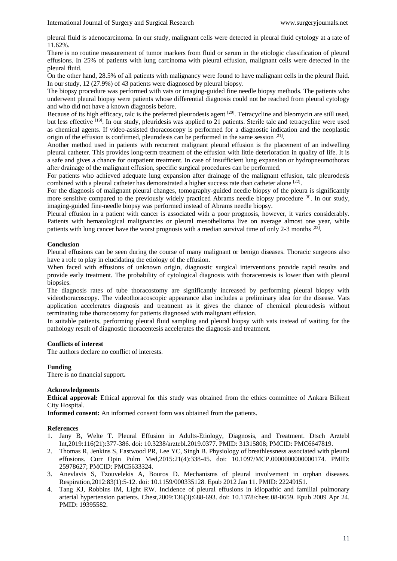pleural fluid is adenocarcinoma. In our study, malignant cells were detected in pleural fluid cytology at a rate of 11.62%.

There is no routine measurement of tumor markers from fluid or serum in the etiologic classification of pleural effusions. In 25% of patients with lung carcinoma with pleural effusion, malignant cells were detected in the pleural fluid.

On the other hand, 28.5% of all patients with malignancy were found to have malignant cells in the pleural fluid. In our study, 12 (27.9%) of 43 patients were diagnosed by pleural biopsy.

The biopsy procedure was performed with vats or imaging-guided fine needle biopsy methods. The patients who underwent pleural biopsy were patients whose differential diagnosis could not be reached from pleural cytology and who did not have a known diagnosis before.

Because of its high efficacy, talc is the preferred pleurodesis agent [20]. Tetracycline and bleomycin are still used. but less effective [19]. In our study, pleuridesis was applied to 21 patients. Sterile talc and tetracycline were used as chemical agents. If video-assisted thoracoscopy is performed for a diagnostic indication and the neoplastic origin of the effusion is confirmed, pleurodesis can be performed in the same session [21].

Another method used in patients with recurrent malignant pleural effusion is the placement of an indwelling pleural catheter. This provides long-term treatment of the effusion with little deterioration in quality of life. It is a safe and gives a chance for outpatient treatment. In case of insufficient lung expansion or hydropneumothorax after drainage of the malignant effusion, specific surgical procedures can be performed.

For patients who achieved adequate lung expansion after drainage of the malignant effusion, talc pleurodesis combined with a pleural catheter has demonstrated a higher success rate than catheter alone [22].

For the diagnosis of malignant pleural changes, tomography-guided needle biopsy of the pleura is significantly more sensitive compared to the previously widely practiced Abrams needle biopsy procedure [8]. In our study, imaging-guided fine-needle biopsy was performed instead of Abrams needle biopsy.

Pleural effusion in a patient with cancer is associated with a poor prognosis, however, it varies considerably. Patients with hematological malignancies or pleural mesothelioma live on average almost one year, while patients with lung cancer have the worst prognosis with a median survival time of only 2-3 months [23].

## **Conclusion**

Pleural effusions can be seen during the course of many malignant or benign diseases. Thoracic surgeons also have a role to play in elucidating the etiology of the effusion.

When faced with effusions of unknown origin, diagnostic surgical interventions provide rapid results and provide early treatment. The probability of cytological diagnosis with thoracentesis is lower than with pleural biopsies.

The diagnosis rates of tube thoracostomy are significantly increased by performing pleural biopsy with videothoracoscopy. The videothoracoscopic appearance also includes a preliminary idea for the disease. Vats application accelerates diagnosis and treatment as it gives the chance of chemical pleurodesis without terminating tube thoracostomy for patients diagnosed with malignant effusion.

In suitable patients, performing pleural fluid sampling and pleural biopsy with vats instead of waiting for the pathology result of diagnostic thoracentesis accelerates the diagnosis and treatment.

#### **Conflicts of interest**

The authors declare no conflict of interests.

## **Funding**

There is no financial support**.**

#### **Acknowledgments**

**Ethical approval:** Ethical approval for this study was obtained from the ethics committee of Ankara Bilkent City Hospital.

**Informed consent:** An informed consent form was obtained from the patients.

#### **References**

- 1. Jany B, Welte T. Pleural Effusion in Adults-Etiology, Diagnosis, and Treatment. Dtsch Arztebl Int,2019:116(21):377-386. doi: 10.3238/arztebl.2019.0377. PMID: 31315808; PMCID: PMC6647819.
- 2. Thomas R, Jenkins S, Eastwood PR, Lee YC, Singh B. Physiology of breathlessness associated with pleural effusions. Curr Opin Pulm Med,2015:21(4):338-45. doi: 10.1097/MCP.0000000000000174. PMID: 25978627; PMCID: PMC5633324.
- 3. Anevlavis S, Tzouvelekis A, Bouros D. Mechanisms of pleural involvement in orphan diseases. Respiration,2012:83(1):5-12. doi: 10.1159/000335128. Epub 2012 Jan 11. PMID: 22249151.
- 4. Tang KJ, Robbins IM, Light RW. Incidence of pleural effusions in idiopathic and familial pulmonary arterial hypertension patients. Chest,2009:136(3):688-693. doi: 10.1378/chest.08-0659. Epub 2009 Apr 24. PMID: 19395582.